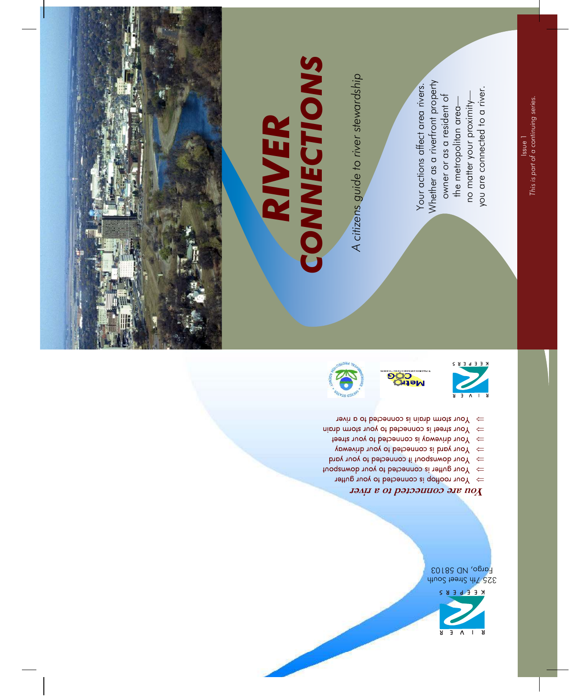

325 7th Street South Fargo, ND 58103

#### **You are connected to a river**

- bour rooftop is connected to your gutter ⇒
- $\Rightarrow$  Your gutter is connected to your downspout
- $\Rightarrow$  Your downspout it connected to your yard
- 
- your yard is connected to your driveway
- 
- $\Rightarrow$  Your driveway is connected to your street
- mionb mote ruo y ot be connected to your street  $\epsilon$
- 
- 
- 









**RIVER**<br>CONNECTIONS

*CONNECTIONS*























lssue 1<br>Th<u>i</u>s is part of a continuing series. *This is part of a continuing series.*